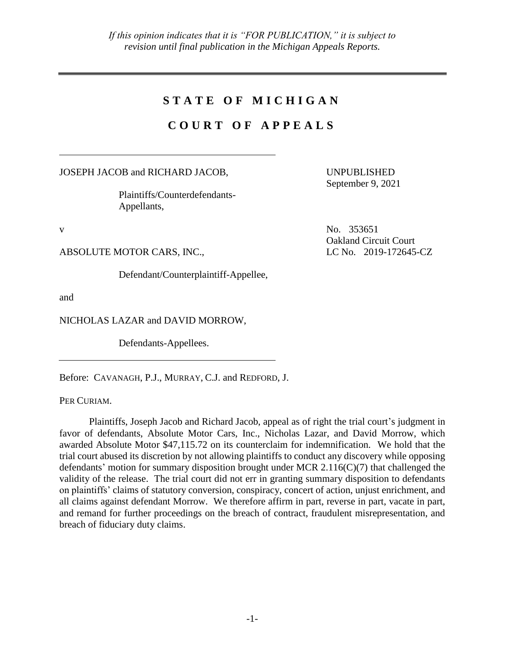# **S T A T E O F M I C H I G A N**

# **C O U R T O F A P P E A L S**

JOSEPH JACOB and RICHARD JACOB,

Plaintiffs/Counterdefendants-Appellants,

ABSOLUTE MOTOR CARS, INC., LC No. 2019-172645-CZ

Defendant/Counterplaintiff-Appellee,

and

NICHOLAS LAZAR and DAVID MORROW,

Defendants-Appellees.

Before: CAVANAGH, P.J., MURRAY, C.J. and REDFORD, J.

PER CURIAM.

Plaintiffs, Joseph Jacob and Richard Jacob, appeal as of right the trial court's judgment in favor of defendants, Absolute Motor Cars, Inc., Nicholas Lazar, and David Morrow, which awarded Absolute Motor \$47,115.72 on its counterclaim for indemnification. We hold that the trial court abused its discretion by not allowing plaintiffs to conduct any discovery while opposing defendants' motion for summary disposition brought under MCR 2.116(C)(7) that challenged the validity of the release. The trial court did not err in granting summary disposition to defendants on plaintiffs' claims of statutory conversion, conspiracy, concert of action, unjust enrichment, and all claims against defendant Morrow. We therefore affirm in part, reverse in part, vacate in part, and remand for further proceedings on the breach of contract, fraudulent misrepresentation, and breach of fiduciary duty claims.

UNPUBLISHED September 9, 2021

v No. 353651 Oakland Circuit Court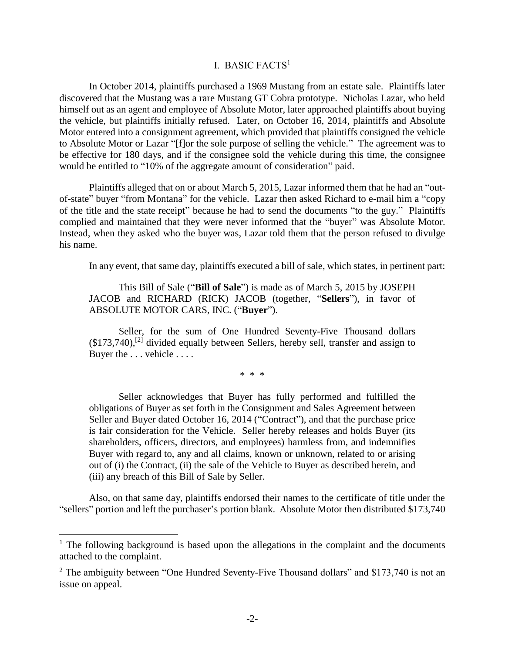## I. BASIC FACTS<sup>1</sup>

In October 2014, plaintiffs purchased a 1969 Mustang from an estate sale. Plaintiffs later discovered that the Mustang was a rare Mustang GT Cobra prototype. Nicholas Lazar, who held himself out as an agent and employee of Absolute Motor, later approached plaintiffs about buying the vehicle, but plaintiffs initially refused. Later, on October 16, 2014, plaintiffs and Absolute Motor entered into a consignment agreement, which provided that plaintiffs consigned the vehicle to Absolute Motor or Lazar "[f]or the sole purpose of selling the vehicle." The agreement was to be effective for 180 days, and if the consignee sold the vehicle during this time, the consignee would be entitled to "10% of the aggregate amount of consideration" paid.

Plaintiffs alleged that on or about March 5, 2015, Lazar informed them that he had an "outof-state" buyer "from Montana" for the vehicle. Lazar then asked Richard to e-mail him a "copy of the title and the state receipt" because he had to send the documents "to the guy." Plaintiffs complied and maintained that they were never informed that the "buyer" was Absolute Motor. Instead, when they asked who the buyer was, Lazar told them that the person refused to divulge his name.

In any event, that same day, plaintiffs executed a bill of sale, which states, in pertinent part:

This Bill of Sale ("**Bill of Sale**") is made as of March 5, 2015 by JOSEPH JACOB and RICHARD (RICK) JACOB (together, "**Sellers**"), in favor of ABSOLUTE MOTOR CARS, INC. ("**Buyer**").

Seller, for the sum of One Hundred Seventy-Five Thousand dollars  $($173,740)$ ,<sup>[2]</sup> divided equally between Sellers, hereby sell, transfer and assign to Buyer the . . . vehicle . . . .

\* \* \*

Seller acknowledges that Buyer has fully performed and fulfilled the obligations of Buyer as set forth in the Consignment and Sales Agreement between Seller and Buyer dated October 16, 2014 ("Contract"), and that the purchase price is fair consideration for the Vehicle. Seller hereby releases and holds Buyer (its shareholders, officers, directors, and employees) harmless from, and indemnifies Buyer with regard to, any and all claims, known or unknown, related to or arising out of (i) the Contract, (ii) the sale of the Vehicle to Buyer as described herein, and (iii) any breach of this Bill of Sale by Seller.

Also, on that same day, plaintiffs endorsed their names to the certificate of title under the "sellers" portion and left the purchaser's portion blank. Absolute Motor then distributed \$173,740

 $1$  The following background is based upon the allegations in the complaint and the documents attached to the complaint.

 $2$  The ambiguity between "One Hundred Seventy-Five Thousand dollars" and \$173,740 is not an issue on appeal.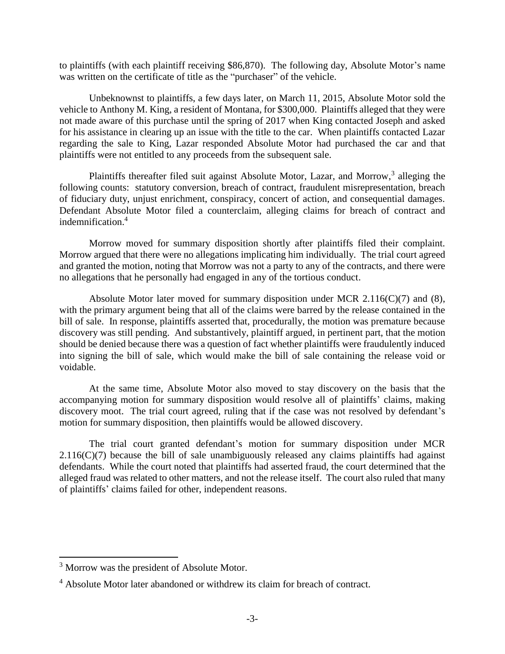to plaintiffs (with each plaintiff receiving \$86,870). The following day, Absolute Motor's name was written on the certificate of title as the "purchaser" of the vehicle.

Unbeknownst to plaintiffs, a few days later, on March 11, 2015, Absolute Motor sold the vehicle to Anthony M. King, a resident of Montana, for \$300,000. Plaintiffs alleged that they were not made aware of this purchase until the spring of 2017 when King contacted Joseph and asked for his assistance in clearing up an issue with the title to the car. When plaintiffs contacted Lazar regarding the sale to King, Lazar responded Absolute Motor had purchased the car and that plaintiffs were not entitled to any proceeds from the subsequent sale.

Plaintiffs thereafter filed suit against Absolute Motor, Lazar, and Morrow,<sup>3</sup> alleging the following counts: statutory conversion, breach of contract, fraudulent misrepresentation, breach of fiduciary duty, unjust enrichment, conspiracy, concert of action, and consequential damages. Defendant Absolute Motor filed a counterclaim, alleging claims for breach of contract and indemnification.<sup>4</sup>

Morrow moved for summary disposition shortly after plaintiffs filed their complaint. Morrow argued that there were no allegations implicating him individually. The trial court agreed and granted the motion, noting that Morrow was not a party to any of the contracts, and there were no allegations that he personally had engaged in any of the tortious conduct.

Absolute Motor later moved for summary disposition under MCR  $2.116(C)(7)$  and (8), with the primary argument being that all of the claims were barred by the release contained in the bill of sale. In response, plaintiffs asserted that, procedurally, the motion was premature because discovery was still pending. And substantively, plaintiff argued, in pertinent part, that the motion should be denied because there was a question of fact whether plaintiffs were fraudulently induced into signing the bill of sale, which would make the bill of sale containing the release void or voidable.

At the same time, Absolute Motor also moved to stay discovery on the basis that the accompanying motion for summary disposition would resolve all of plaintiffs' claims, making discovery moot. The trial court agreed, ruling that if the case was not resolved by defendant's motion for summary disposition, then plaintiffs would be allowed discovery.

The trial court granted defendant's motion for summary disposition under MCR  $2.116(C)(7)$  because the bill of sale unambiguously released any claims plaintiffs had against defendants. While the court noted that plaintiffs had asserted fraud, the court determined that the alleged fraud was related to other matters, and not the release itself. The court also ruled that many of plaintiffs' claims failed for other, independent reasons.

<sup>&</sup>lt;sup>3</sup> Morrow was the president of Absolute Motor.

<sup>&</sup>lt;sup>4</sup> Absolute Motor later abandoned or withdrew its claim for breach of contract.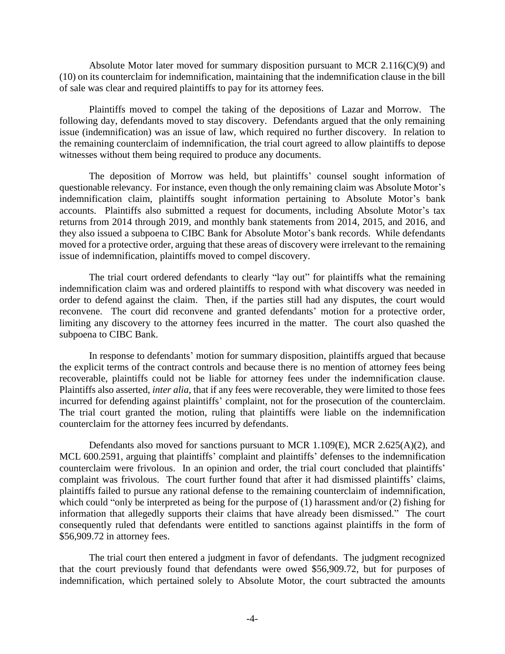Absolute Motor later moved for summary disposition pursuant to MCR 2.116( $C(9)$ ) and (10) on its counterclaim for indemnification, maintaining that the indemnification clause in the bill of sale was clear and required plaintiffs to pay for its attorney fees.

Plaintiffs moved to compel the taking of the depositions of Lazar and Morrow. The following day, defendants moved to stay discovery. Defendants argued that the only remaining issue (indemnification) was an issue of law, which required no further discovery. In relation to the remaining counterclaim of indemnification, the trial court agreed to allow plaintiffs to depose witnesses without them being required to produce any documents.

The deposition of Morrow was held, but plaintiffs' counsel sought information of questionable relevancy. For instance, even though the only remaining claim was Absolute Motor's indemnification claim, plaintiffs sought information pertaining to Absolute Motor's bank accounts. Plaintiffs also submitted a request for documents, including Absolute Motor's tax returns from 2014 through 2019, and monthly bank statements from 2014, 2015, and 2016, and they also issued a subpoena to CIBC Bank for Absolute Motor's bank records. While defendants moved for a protective order, arguing that these areas of discovery were irrelevant to the remaining issue of indemnification, plaintiffs moved to compel discovery.

The trial court ordered defendants to clearly "lay out" for plaintiffs what the remaining indemnification claim was and ordered plaintiffs to respond with what discovery was needed in order to defend against the claim. Then, if the parties still had any disputes, the court would reconvene. The court did reconvene and granted defendants' motion for a protective order, limiting any discovery to the attorney fees incurred in the matter. The court also quashed the subpoena to CIBC Bank.

In response to defendants' motion for summary disposition, plaintiffs argued that because the explicit terms of the contract controls and because there is no mention of attorney fees being recoverable, plaintiffs could not be liable for attorney fees under the indemnification clause. Plaintiffs also asserted, *inter alia*, that if any fees were recoverable, they were limited to those fees incurred for defending against plaintiffs' complaint, not for the prosecution of the counterclaim. The trial court granted the motion, ruling that plaintiffs were liable on the indemnification counterclaim for the attorney fees incurred by defendants.

Defendants also moved for sanctions pursuant to MCR 1.109(E), MCR 2.625(A)(2), and MCL 600.2591, arguing that plaintiffs' complaint and plaintiffs' defenses to the indemnification counterclaim were frivolous. In an opinion and order, the trial court concluded that plaintiffs' complaint was frivolous. The court further found that after it had dismissed plaintiffs' claims, plaintiffs failed to pursue any rational defense to the remaining counterclaim of indemnification, which could "only be interpreted as being for the purpose of (1) harassment and/or (2) fishing for information that allegedly supports their claims that have already been dismissed." The court consequently ruled that defendants were entitled to sanctions against plaintiffs in the form of \$56,909.72 in attorney fees.

The trial court then entered a judgment in favor of defendants. The judgment recognized that the court previously found that defendants were owed \$56,909.72, but for purposes of indemnification, which pertained solely to Absolute Motor, the court subtracted the amounts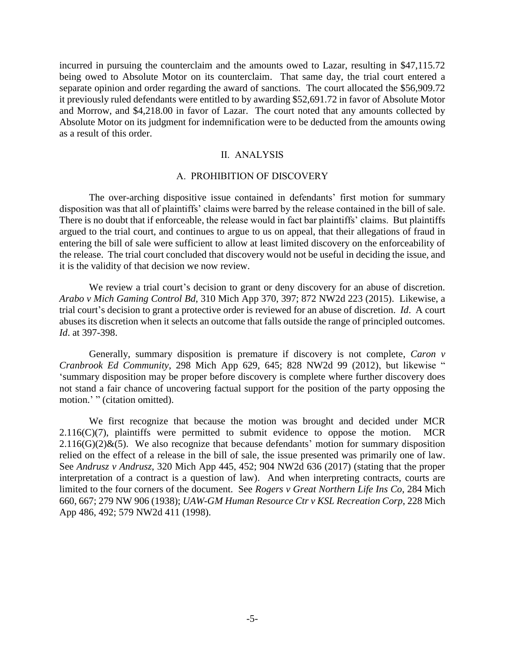incurred in pursuing the counterclaim and the amounts owed to Lazar, resulting in \$47,115.72 being owed to Absolute Motor on its counterclaim. That same day, the trial court entered a separate opinion and order regarding the award of sanctions. The court allocated the \$56,909.72 it previously ruled defendants were entitled to by awarding \$52,691.72 in favor of Absolute Motor and Morrow, and \$4,218.00 in favor of Lazar. The court noted that any amounts collected by Absolute Motor on its judgment for indemnification were to be deducted from the amounts owing as a result of this order.

#### II. ANALYSIS

#### A. PROHIBITION OF DISCOVERY

The over-arching dispositive issue contained in defendants' first motion for summary disposition was that all of plaintiffs' claims were barred by the release contained in the bill of sale. There is no doubt that if enforceable, the release would in fact bar plaintiffs' claims. But plaintiffs argued to the trial court, and continues to argue to us on appeal, that their allegations of fraud in entering the bill of sale were sufficient to allow at least limited discovery on the enforceability of the release. The trial court concluded that discovery would not be useful in deciding the issue, and it is the validity of that decision we now review.

We review a trial court's decision to grant or deny discovery for an abuse of discretion. *Arabo v Mich Gaming Control Bd*, 310 Mich App 370, 397; 872 NW2d 223 (2015). Likewise, a trial court's decision to grant a protective order is reviewed for an abuse of discretion. *Id*. A court abuses its discretion when it selects an outcome that falls outside the range of principled outcomes. *Id*. at 397-398.

Generally, summary disposition is premature if discovery is not complete, *Caron v Cranbrook Ed Community*, 298 Mich App 629, 645; 828 NW2d 99 (2012), but likewise " 'summary disposition may be proper before discovery is complete where further discovery does not stand a fair chance of uncovering factual support for the position of the party opposing the motion.' " (citation omitted).

We first recognize that because the motion was brought and decided under MCR  $2.116(C)(7)$ , plaintiffs were permitted to submit evidence to oppose the motion. MCR  $2.116(G)(2)$ &(5). We also recognize that because defendants' motion for summary disposition relied on the effect of a release in the bill of sale, the issue presented was primarily one of law. See *Andrusz v Andrusz*, 320 Mich App 445, 452; 904 NW2d 636 (2017) (stating that the proper interpretation of a contract is a question of law). And when interpreting contracts, courts are limited to the four corners of the document. See *Rogers v Great Northern Life Ins Co*, 284 Mich 660, 667; 279 NW 906 (1938); *UAW-GM Human Resource Ctr v KSL Recreation Corp*, 228 Mich App 486, 492; 579 NW2d 411 (1998).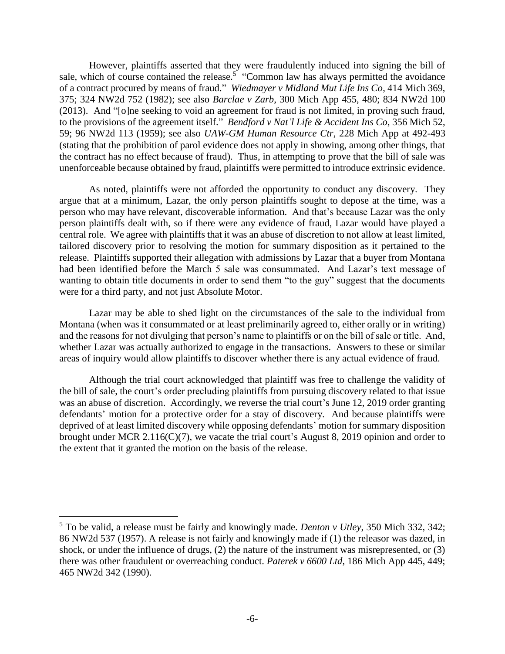However, plaintiffs asserted that they were fraudulently induced into signing the bill of sale, which of course contained the release.<sup>5</sup> "Common law has always permitted the avoidance of a contract procured by means of fraud." *Wiedmayer v Midland Mut Life Ins Co*, 414 Mich 369, 375; 324 NW2d 752 (1982); see also *Barclae v Zarb*, 300 Mich App 455, 480; 834 NW2d 100 (2013). And "[o]ne seeking to void an agreement for fraud is not limited, in proving such fraud, to the provisions of the agreement itself." *Bendford v Nat'l Life & Accident Ins Co*, 356 Mich 52, 59; 96 NW2d 113 (1959); see also *UAW-GM Human Resource Ctr*, 228 Mich App at 492-493 (stating that the prohibition of parol evidence does not apply in showing, among other things, that the contract has no effect because of fraud). Thus, in attempting to prove that the bill of sale was unenforceable because obtained by fraud, plaintiffs were permitted to introduce extrinsic evidence.

As noted, plaintiffs were not afforded the opportunity to conduct any discovery. They argue that at a minimum, Lazar, the only person plaintiffs sought to depose at the time, was a person who may have relevant, discoverable information. And that's because Lazar was the only person plaintiffs dealt with, so if there were any evidence of fraud, Lazar would have played a central role. We agree with plaintiffs that it was an abuse of discretion to not allow at least limited, tailored discovery prior to resolving the motion for summary disposition as it pertained to the release. Plaintiffs supported their allegation with admissions by Lazar that a buyer from Montana had been identified before the March 5 sale was consummated. And Lazar's text message of wanting to obtain title documents in order to send them "to the guy" suggest that the documents were for a third party, and not just Absolute Motor.

Lazar may be able to shed light on the circumstances of the sale to the individual from Montana (when was it consummated or at least preliminarily agreed to, either orally or in writing) and the reasons for not divulging that person's name to plaintiffs or on the bill of sale or title. And, whether Lazar was actually authorized to engage in the transactions. Answers to these or similar areas of inquiry would allow plaintiffs to discover whether there is any actual evidence of fraud.

Although the trial court acknowledged that plaintiff was free to challenge the validity of the bill of sale, the court's order precluding plaintiffs from pursuing discovery related to that issue was an abuse of discretion. Accordingly, we reverse the trial court's June 12, 2019 order granting defendants' motion for a protective order for a stay of discovery. And because plaintiffs were deprived of at least limited discovery while opposing defendants' motion for summary disposition brought under MCR 2.116(C)(7), we vacate the trial court's August 8, 2019 opinion and order to the extent that it granted the motion on the basis of the release.

<sup>5</sup> To be valid, a release must be fairly and knowingly made. *Denton v Utley*, 350 Mich 332, 342; 86 NW2d 537 (1957). A release is not fairly and knowingly made if (1) the releasor was dazed, in shock, or under the influence of drugs, (2) the nature of the instrument was misrepresented, or (3) there was other fraudulent or overreaching conduct. *Paterek v 6600 Ltd*, 186 Mich App 445, 449; 465 NW2d 342 (1990).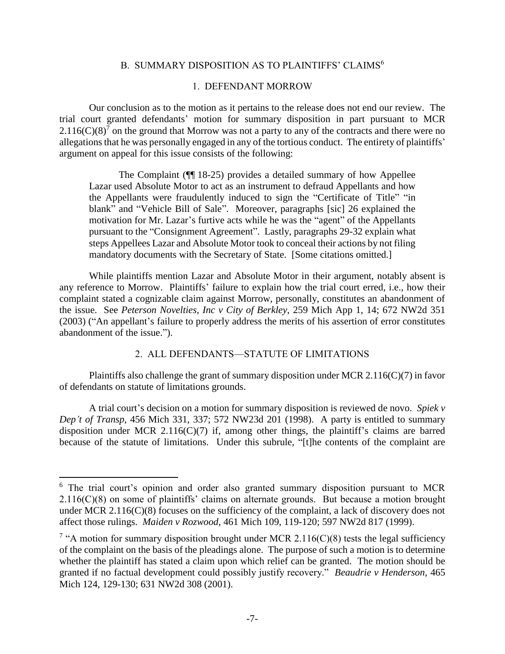## B. SUMMARY DISPOSITION AS TO PLAINTIFFS' CLAIMS<sup>6</sup>

## 1. DEFENDANT MORROW

Our conclusion as to the motion as it pertains to the release does not end our review. The trial court granted defendants' motion for summary disposition in part pursuant to MCR 2.116(C)(8)<sup>7</sup> on the ground that Morrow was not a party to any of the contracts and there were no allegations that he was personally engaged in any of the tortious conduct. The entirety of plaintiffs' argument on appeal for this issue consists of the following:

The Complaint (¶¶ 18-25) provides a detailed summary of how Appellee Lazar used Absolute Motor to act as an instrument to defraud Appellants and how the Appellants were fraudulently induced to sign the "Certificate of Title" "in blank" and "Vehicle Bill of Sale". Moreover, paragraphs [sic] 26 explained the motivation for Mr. Lazar's furtive acts while he was the "agent" of the Appellants pursuant to the "Consignment Agreement". Lastly, paragraphs 29-32 explain what steps Appellees Lazar and Absolute Motor took to conceal their actions by not filing mandatory documents with the Secretary of State. [Some citations omitted.]

While plaintiffs mention Lazar and Absolute Motor in their argument, notably absent is any reference to Morrow. Plaintiffs' failure to explain how the trial court erred, i.e., how their complaint stated a cognizable claim against Morrow, personally, constitutes an abandonment of the issue. See *Peterson Novelties, Inc v City of Berkley*, 259 Mich App 1, 14; 672 NW2d 351 (2003) ("An appellant's failure to properly address the merits of his assertion of error constitutes abandonment of the issue.").

## 2. ALL DEFENDANTS—STATUTE OF LIMITATIONS

Plaintiffs also challenge the grant of summary disposition under MCR 2.116(C)(7) in favor of defendants on statute of limitations grounds.

A trial court's decision on a motion for summary disposition is reviewed de novo. *Spiek v Dep't of Transp*, 456 Mich 331, 337; 572 NW23d 201 (1998). A party is entitled to summary disposition under MCR 2.116(C)(7) if, among other things, the plaintiff's claims are barred because of the statute of limitations. Under this subrule, "[t]he contents of the complaint are

<sup>&</sup>lt;sup>6</sup> The trial court's opinion and order also granted summary disposition pursuant to MCR  $2.116(C)(8)$  on some of plaintiffs' claims on alternate grounds. But because a motion brought under MCR 2.116(C)(8) focuses on the sufficiency of the complaint, a lack of discovery does not affect those rulings. *Maiden v Rozwood*, 461 Mich 109, 119-120; 597 NW2d 817 (1999).

<sup>&</sup>lt;sup>7</sup> "A motion for summary disposition brought under MCR 2.116(C)(8) tests the legal sufficiency of the complaint on the basis of the pleadings alone. The purpose of such a motion is to determine whether the plaintiff has stated a claim upon which relief can be granted. The motion should be granted if no factual development could possibly justify recovery." *Beaudrie v Henderson*, 465 Mich 124, 129-130; 631 NW2d 308 (2001).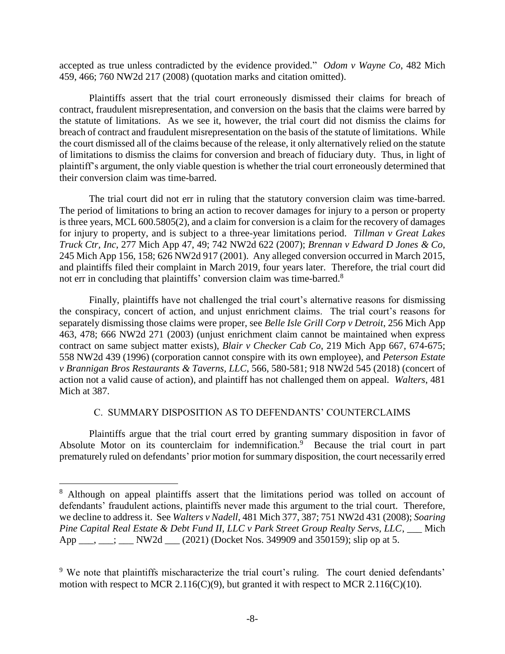accepted as true unless contradicted by the evidence provided." *Odom v Wayne Co*, 482 Mich 459, 466; 760 NW2d 217 (2008) (quotation marks and citation omitted).

Plaintiffs assert that the trial court erroneously dismissed their claims for breach of contract, fraudulent misrepresentation, and conversion on the basis that the claims were barred by the statute of limitations. As we see it, however, the trial court did not dismiss the claims for breach of contract and fraudulent misrepresentation on the basis of the statute of limitations. While the court dismissed all of the claims because of the release, it only alternatively relied on the statute of limitations to dismiss the claims for conversion and breach of fiduciary duty. Thus, in light of plaintiff's argument, the only viable question is whether the trial court erroneously determined that their conversion claim was time-barred.

The trial court did not err in ruling that the statutory conversion claim was time-barred. The period of limitations to bring an action to recover damages for injury to a person or property is three years, MCL 600.5805(2), and a claim for conversion is a claim for the recovery of damages for injury to property, and is subject to a three-year limitations period. *Tillman v Great Lakes Truck Ctr, Inc*, 277 Mich App 47, 49; 742 NW2d 622 (2007); *Brennan v Edward D Jones & Co*, 245 Mich App 156, 158; 626 NW2d 917 (2001). Any alleged conversion occurred in March 2015, and plaintiffs filed their complaint in March 2019, four years later. Therefore, the trial court did not err in concluding that plaintiffs' conversion claim was time-barred.<sup>8</sup>

Finally, plaintiffs have not challenged the trial court's alternative reasons for dismissing the conspiracy, concert of action, and unjust enrichment claims. The trial court's reasons for separately dismissing those claims were proper, see *Belle Isle Grill Corp v Detroit*, 256 Mich App 463, 478; 666 NW2d 271 (2003) (unjust enrichment claim cannot be maintained when express contract on same subject matter exists), *Blair v Checker Cab Co*, 219 Mich App 667, 674-675; 558 NW2d 439 (1996) (corporation cannot conspire with its own employee), and *Peterson Estate v Brannigan Bros Restaurants & Taverns, LLC*, 566, 580-581; 918 NW2d 545 (2018) (concert of action not a valid cause of action), and plaintiff has not challenged them on appeal. *Walters*, 481 Mich at 387.

### C. SUMMARY DISPOSITION AS TO DEFENDANTS' COUNTERCLAIMS

Plaintiffs argue that the trial court erred by granting summary disposition in favor of Absolute Motor on its counterclaim for indemnification.<sup>9</sup> Because the trial court in part prematurely ruled on defendants' prior motion for summary disposition, the court necessarily erred

<sup>&</sup>lt;sup>8</sup> Although on appeal plaintiffs assert that the limitations period was tolled on account of defendants' fraudulent actions, plaintiffs never made this argument to the trial court. Therefore, we decline to address it. See *Walters v Nadell*, 481 Mich 377, 387; 751 NW2d 431 (2008); *Soaring Pine Capital Real Estate & Debt Fund II, LLC v Park Street Group Realty Servs, LLC*, \_\_\_ Mich App  $\frac{1}{2}$ ,  $\frac{1}{2}$  NW2d  $\frac{1}{2}$  (2021) (Docket Nos. 349909 and 350159); slip op at 5.

<sup>&</sup>lt;sup>9</sup> We note that plaintiffs mischaracterize the trial court's ruling. The court denied defendants' motion with respect to MCR 2.116(C)(9), but granted it with respect to MCR 2.116(C)(10).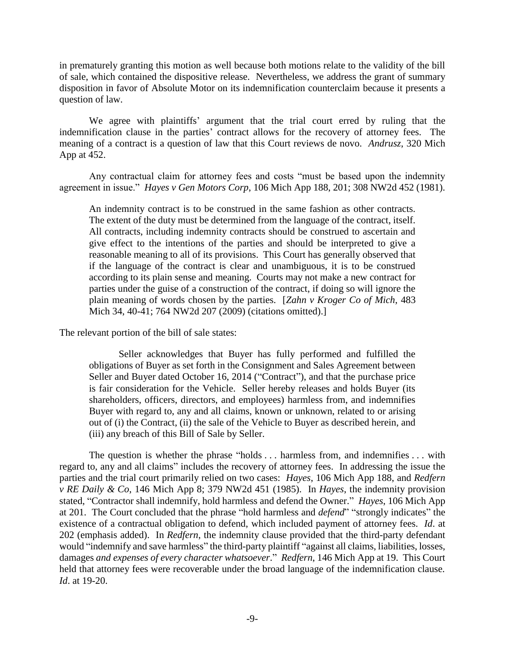in prematurely granting this motion as well because both motions relate to the validity of the bill of sale, which contained the dispositive release. Nevertheless, we address the grant of summary disposition in favor of Absolute Motor on its indemnification counterclaim because it presents a question of law.

We agree with plaintiffs' argument that the trial court erred by ruling that the indemnification clause in the parties' contract allows for the recovery of attorney fees. The meaning of a contract is a question of law that this Court reviews de novo. *Andrusz*, 320 Mich App at 452.

Any contractual claim for attorney fees and costs "must be based upon the indemnity agreement in issue." *Hayes v Gen Motors Corp*, 106 Mich App 188, 201; 308 NW2d 452 (1981).

An indemnity contract is to be construed in the same fashion as other contracts. The extent of the duty must be determined from the language of the contract, itself. All contracts, including indemnity contracts should be construed to ascertain and give effect to the intentions of the parties and should be interpreted to give a reasonable meaning to all of its provisions. This Court has generally observed that if the language of the contract is clear and unambiguous, it is to be construed according to its plain sense and meaning. Courts may not make a new contract for parties under the guise of a construction of the contract, if doing so will ignore the plain meaning of words chosen by the parties. [*Zahn v Kroger Co of Mich*, 483 Mich 34, 40-41; 764 NW2d 207 (2009) (citations omitted).]

The relevant portion of the bill of sale states:

Seller acknowledges that Buyer has fully performed and fulfilled the obligations of Buyer as set forth in the Consignment and Sales Agreement between Seller and Buyer dated October 16, 2014 ("Contract"), and that the purchase price is fair consideration for the Vehicle. Seller hereby releases and holds Buyer (its shareholders, officers, directors, and employees) harmless from, and indemnifies Buyer with regard to, any and all claims, known or unknown, related to or arising out of (i) the Contract, (ii) the sale of the Vehicle to Buyer as described herein, and (iii) any breach of this Bill of Sale by Seller.

The question is whether the phrase "holds . . . harmless from, and indemnifies . . . with regard to, any and all claims" includes the recovery of attorney fees. In addressing the issue the parties and the trial court primarily relied on two cases: *Hayes*, 106 Mich App 188, and *Redfern v RE Daily & Co*, 146 Mich App 8; 379 NW2d 451 (1985). In *Hayes*, the indemnity provision stated, "Contractor shall indemnify, hold harmless and defend the Owner." *Hayes*, 106 Mich App at 201. The Court concluded that the phrase "hold harmless and *defend*" "strongly indicates" the existence of a contractual obligation to defend, which included payment of attorney fees. *Id*. at 202 (emphasis added). In *Redfern*, the indemnity clause provided that the third-party defendant would "indemnify and save harmless" the third-party plaintiff "against all claims, liabilities, losses, damages *and expenses of every character whatsoever*." *Redfern*, 146 Mich App at 19. This Court held that attorney fees were recoverable under the broad language of the indemnification clause. *Id*. at 19-20.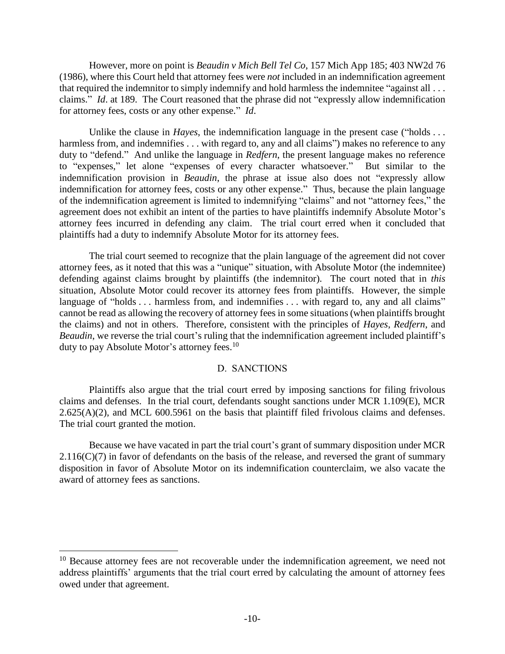However, more on point is *Beaudin v Mich Bell Tel Co*, 157 Mich App 185; 403 NW2d 76 (1986), where this Court held that attorney fees were *not* included in an indemnification agreement that required the indemnitor to simply indemnify and hold harmless the indemnitee "against all . . . claims." *Id*. at 189. The Court reasoned that the phrase did not "expressly allow indemnification for attorney fees, costs or any other expense." *Id*.

Unlike the clause in *Hayes*, the indemnification language in the present case ("holds ... harmless from, and indemnifies . . . with regard to, any and all claims" makes no reference to any duty to "defend." And unlike the language in *Redfern*, the present language makes no reference to "expenses," let alone "expenses of every character whatsoever." But similar to the indemnification provision in *Beaudin*, the phrase at issue also does not "expressly allow indemnification for attorney fees, costs or any other expense." Thus, because the plain language of the indemnification agreement is limited to indemnifying "claims" and not "attorney fees," the agreement does not exhibit an intent of the parties to have plaintiffs indemnify Absolute Motor's attorney fees incurred in defending any claim. The trial court erred when it concluded that plaintiffs had a duty to indemnify Absolute Motor for its attorney fees.

The trial court seemed to recognize that the plain language of the agreement did not cover attorney fees, as it noted that this was a "unique" situation, with Absolute Motor (the indemnitee) defending against claims brought by plaintiffs (the indemnitor). The court noted that in *this* situation, Absolute Motor could recover its attorney fees from plaintiffs. However, the simple language of "holds . . . harmless from, and indemnifies . . . with regard to, any and all claims" cannot be read as allowing the recovery of attorney fees in some situations (when plaintiffs brought the claims) and not in others. Therefore, consistent with the principles of *Hayes*, *Redfern*, and *Beaudin*, we reverse the trial court's ruling that the indemnification agreement included plaintiff's duty to pay Absolute Motor's attorney fees.<sup>10</sup>

## D. SANCTIONS

Plaintiffs also argue that the trial court erred by imposing sanctions for filing frivolous claims and defenses. In the trial court, defendants sought sanctions under MCR 1.109(E), MCR  $2.625(A)(2)$ , and MCL 600.5961 on the basis that plaintiff filed frivolous claims and defenses. The trial court granted the motion.

Because we have vacated in part the trial court's grant of summary disposition under MCR  $2.116(C)(7)$  in favor of defendants on the basis of the release, and reversed the grant of summary disposition in favor of Absolute Motor on its indemnification counterclaim, we also vacate the award of attorney fees as sanctions.

 $10$  Because attorney fees are not recoverable under the indemnification agreement, we need not address plaintiffs' arguments that the trial court erred by calculating the amount of attorney fees owed under that agreement.